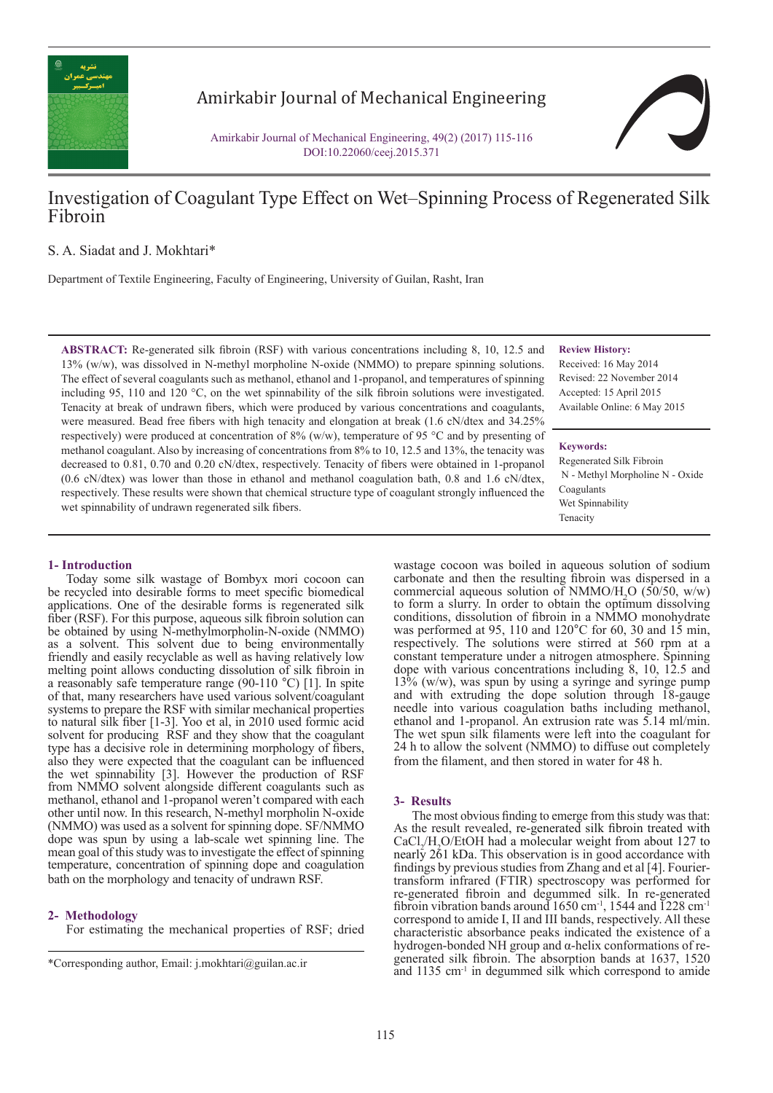

# Amirkabir Journal of Mechanical Engineering

Amirkabir Journal of Mechanical Engineering, 49(2) (2017) 115-116 DOI:10.22060/ceej.2015.371

# Investigation of Coagulant Type Effect on Wet–Spinning Process of Regenerated Silk Fibroin

# S. A. Siadat and J. Mokhtari\*

Department of Textile Engineering, Faculty of Engineering, University of Guilan, Rasht, Iran

**ABSTRACT:** Re-generated silk fibroin (RSF) with various concentrations including 8, 10, 12.5 and 13% (w/w), was dissolved in N-methyl morpholine N-oxide (NMMO) to prepare spinning solutions. The effect of several coagulants such as methanol, ethanol and 1-propanol, and temperatures of spinning including 95, 110 and 120 °C, on the wet spinnability of the silk fibroin solutions were investigated. Tenacity at break of undrawn fibers, which were produced by various concentrations and coagulants, were measured. Bead free fibers with high tenacity and elongation at break (1.6 cN/dtex and 34.25% respectively) were produced at concentration of 8% (w/w), temperature of 95 °C and by presenting of methanol coagulant. Also by increasing of concentrations from 8% to 10, 12.5 and 13%, the tenacity was decreased to 0.81, 0.70 and 0.20 cN/dtex, respectively. Tenacity of fibers were obtained in 1-propanol (0.6 cN/dtex) was lower than those in ethanol and methanol coagulation bath, 0.8 and 1.6 cN/dtex, respectively. These results were shown that chemical structure type of coagulant strongly influenced the wet spinnability of undrawn regenerated silk fibers.

#### **Review History:**

Received: 16 May 2014 Revised: 22 November 2014 Accepted: 15 April 2015 Available Online: 6 May 2015

### **Keywords:**

wastage cocoon was boiled in aqueous solution of sodium carbonate and then the resulting fibroin was dispersed in a commercial aqueous solution of NMMO/ $H<sub>2</sub>O$  (50/50, w/w) to form a slurry. In order to obtain the optimum dissolving conditions, dissolution of fibroin in a NMMO monohydrate was performed at 95, 110 and  $120^{\circ}$ C for 60, 30 and 15 min, respectively. The solutions were stirred at 560 rpm at a constant temperature under a nitrogen atmosphere. Spinning dope with various concentrations including 8, 10, 12.5 and  $13\%$  (w/w), was spun by using a syringe and syringe pump and with extruding the dope solution through 18-gauge needle into various coagulation baths including methanol, ethanol and 1-propanol. An extrusion rate was 5.14 ml/min. The wet spun silk filaments were left into the coagulant for 24 h to allow the solvent (NMMO) to diffuse out completely

Regenerated Silk Fibroin N - Methyl Morpholine N - Oxide Coagulants Wet Spinnability Tenacity

#### **1- Introduction**

Today some silk wastage of Bombyx mori cocoon can be recycled into desirable forms to meet specific biomedical applications. One of the desirable forms is regenerated silk fiber (RSF). For this purpose, aqueous silk fibroin solution can be obtained by using N-methylmorpholin-N-oxide (NMMO) as a solvent. This solvent due to being environmentally friendly and easily recyclable as well as having relatively low melting point allows conducting dissolution of silk fibroin in a reasonably safe temperature range (90-110 °C) [1]. In spite of that, many researchers have used various solvent/coagulant systems to prepare the RSF with similar mechanical properties to natural silk fiber [1-3]. Yoo et al, in 2010 used formic acid solvent for producing RSF and they show that the coagulant type has a decisive role in determining morphology of fibers, also they were expected that the coagulant can be influenced the wet spinnability [3]. However the production of RSF from NMMO solvent alongside different coagulants such as methanol, ethanol and 1-propanol weren't compared with each other until now. In this research, N-methyl morpholin N-oxide (NMMO) was used as a solvent for spinning dope. SF/NMMO dope was spun by using a lab-scale wet spinning line. The mean goal of this study was to investigate the effect of spinning temperature, concentration of spinning dope and coagulation bath on the morphology and tenacity of undrawn RSF.

#### **2- Methodology**

For estimating the mechanical properties of RSF; dried

## **3- Results**

The most obvious finding to emerge from this study was that: As the result revealed, re-generated silk fibroin treated with  $CaCl<sub>2</sub>/H<sub>2</sub>O/EtOH$  had a molecular weight from about 127 to nearly 261 kDa. This observation is in good accordance with findings by previous studies from Zhang and et al [4]. Fouriertransform infrared (FTIR) spectroscopy was performed for re-generated fibroin and degummed silk. In re-generated fibroin vibration bands around  $1650 \text{ cm}^{-1}$ ,  $1544$  and  $1228 \text{ cm}^{-1}$ correspond to amide I, II and III bands, respectively. All these characteristic absorbance peaks indicated the existence of a hydrogen-bonded NH group and α-helix conformations of regenerated silk fibroin. The absorption bands at 1637, 1520 \*Corresponding author, Email: j.mokhtari@guilan.ac.ir<br>and 1135 cm<sup>-1</sup> in degummed silk which correspond to amide

from the filament, and then stored in water for 48 h.